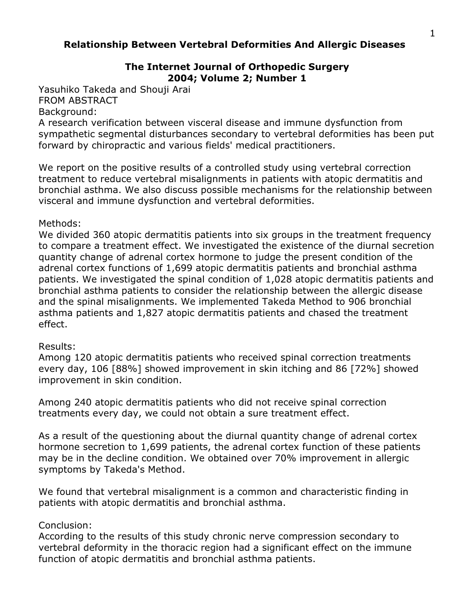# **Relationship Between Vertebral Deformities And Allergic Diseases**

# **The Internet Journal of Orthopedic Surgery 2004; Volume 2; Number 1**

Yasuhiko Takeda and Shouji Arai FROM ABSTRACT

#### Background:

A research verification between visceral disease and immune dysfunction from sympathetic segmental disturbances secondary to vertebral deformities has been put forward by chiropractic and various fields' medical practitioners.

We report on the positive results of a controlled study using vertebral correction treatment to reduce vertebral misalignments in patients with atopic dermatitis and bronchial asthma. We also discuss possible mechanisms for the relationship between visceral and immune dysfunction and vertebral deformities.

#### Methods:

We divided 360 atopic dermatitis patients into six groups in the treatment frequency to compare a treatment effect. We investigated the existence of the diurnal secretion quantity change of adrenal cortex hormone to judge the present condition of the adrenal cortex functions of 1,699 atopic dermatitis patients and bronchial asthma patients. We investigated the spinal condition of 1,028 atopic dermatitis patients and bronchial asthma patients to consider the relationship between the allergic disease and the spinal misalignments. We implemented Takeda Method to 906 bronchial asthma patients and 1,827 atopic dermatitis patients and chased the treatment effect.

#### Results:

Among 120 atopic dermatitis patients who received spinal correction treatments every day, 106 [88%] showed improvement in skin itching and 86 [72%] showed improvement in skin condition.

Among 240 atopic dermatitis patients who did not receive spinal correction treatments every day, we could not obtain a sure treatment effect.

As a result of the questioning about the diurnal quantity change of adrenal cortex hormone secretion to 1,699 patients, the adrenal cortex function of these patients may be in the decline condition. We obtained over 70% improvement in allergic symptoms by Takeda's Method.

We found that vertebral misalignment is a common and characteristic finding in patients with atopic dermatitis and bronchial asthma.

## Conclusion:

According to the results of this study chronic nerve compression secondary to vertebral deformity in the thoracic region had a significant effect on the immune function of atopic dermatitis and bronchial asthma patients.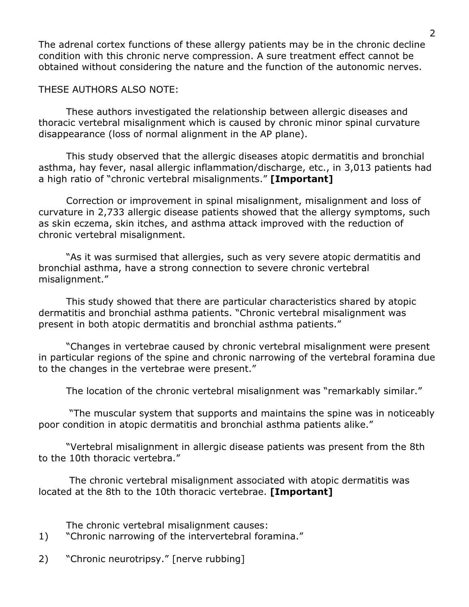The adrenal cortex functions of these allergy patients may be in the chronic decline condition with this chronic nerve compression. A sure treatment effect cannot be obtained without considering the nature and the function of the autonomic nerves.

# THESE AUTHORS ALSO NOTE:

These authors investigated the relationship between allergic diseases and thoracic vertebral misalignment which is caused by chronic minor spinal curvature disappearance (loss of normal alignment in the AP plane).

This study observed that the allergic diseases atopic dermatitis and bronchial asthma, hay fever, nasal allergic inflammation/discharge, etc., in 3,013 patients had a high ratio of "chronic vertebral misalignments." **[Important]**

Correction or improvement in spinal misalignment, misalignment and loss of curvature in 2,733 allergic disease patients showed that the allergy symptoms, such as skin eczema, skin itches, and asthma attack improved with the reduction of chronic vertebral misalignment.

"As it was surmised that allergies, such as very severe atopic dermatitis and bronchial asthma, have a strong connection to severe chronic vertebral misalignment."

This study showed that there are particular characteristics shared by atopic dermatitis and bronchial asthma patients. "Chronic vertebral misalignment was present in both atopic dermatitis and bronchial asthma patients."

"Changes in vertebrae caused by chronic vertebral misalignment were present in particular regions of the spine and chronic narrowing of the vertebral foramina due to the changes in the vertebrae were present."

The location of the chronic vertebral misalignment was "remarkably similar."

 "The muscular system that supports and maintains the spine was in noticeably poor condition in atopic dermatitis and bronchial asthma patients alike."

"Vertebral misalignment in allergic disease patients was present from the 8th to the 10th thoracic vertebra."

 The chronic vertebral misalignment associated with atopic dermatitis was located at the 8th to the 10th thoracic vertebrae. **[Important]**

The chronic vertebral misalignment causes:

- 1) "Chronic narrowing of the intervertebral foramina."
- 2) "Chronic neurotripsy." [nerve rubbing]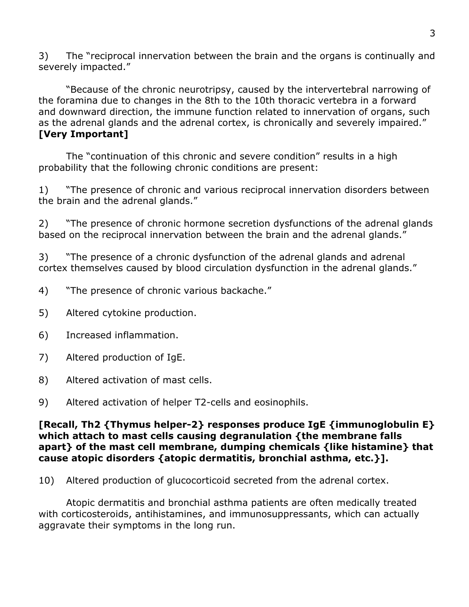3) The "reciprocal innervation between the brain and the organs is continually and severely impacted."

"Because of the chronic neurotripsy, caused by the intervertebral narrowing of the foramina due to changes in the 8th to the 10th thoracic vertebra in a forward and downward direction, the immune function related to innervation of organs, such as the adrenal glands and the adrenal cortex, is chronically and severely impaired." **[Very Important]**

The "continuation of this chronic and severe condition" results in a high probability that the following chronic conditions are present:

1) "The presence of chronic and various reciprocal innervation disorders between the brain and the adrenal glands."

2) "The presence of chronic hormone secretion dysfunctions of the adrenal glands based on the reciprocal innervation between the brain and the adrenal glands."

3) "The presence of a chronic dysfunction of the adrenal glands and adrenal cortex themselves caused by blood circulation dysfunction in the adrenal glands."

- 4) "The presence of chronic various backache."
- 5) Altered cytokine production.
- 6) Increased inflammation.
- 7) Altered production of IgE.
- 8) Altered activation of mast cells.
- 9) Altered activation of helper T2-cells and eosinophils.

## **[Recall, Th2 {Thymus helper-2} responses produce IgE {immunoglobulin E} which attach to mast cells causing degranulation {the membrane falls apart} of the mast cell membrane, dumping chemicals {like histamine} that cause atopic disorders {atopic dermatitis, bronchial asthma, etc.}].**

10) Altered production of glucocorticoid secreted from the adrenal cortex.

Atopic dermatitis and bronchial asthma patients are often medically treated with corticosteroids, antihistamines, and immunosuppressants, which can actually aggravate their symptoms in the long run.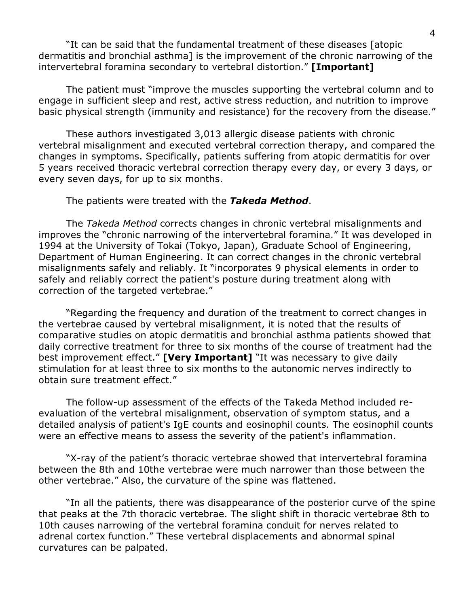"It can be said that the fundamental treatment of these diseases [atopic dermatitis and bronchial asthma] is the improvement of the chronic narrowing of the intervertebral foramina secondary to vertebral distortion." **[Important]**

The patient must "improve the muscles supporting the vertebral column and to engage in sufficient sleep and rest, active stress reduction, and nutrition to improve basic physical strength (immunity and resistance) for the recovery from the disease."

These authors investigated 3,013 allergic disease patients with chronic vertebral misalignment and executed vertebral correction therapy, and compared the changes in symptoms. Specifically, patients suffering from atopic dermatitis for over 5 years received thoracic vertebral correction therapy every day, or every 3 days, or every seven days, for up to six months.

#### The patients were treated with the *Takeda Method*.

The *Takeda Method* corrects changes in chronic vertebral misalignments and improves the "chronic narrowing of the intervertebral foramina." It was developed in 1994 at the University of Tokai (Tokyo, Japan), Graduate School of Engineering, Department of Human Engineering. It can correct changes in the chronic vertebral misalignments safely and reliably. It "incorporates 9 physical elements in order to safely and reliably correct the patient's posture during treatment along with correction of the targeted vertebrae."

"Regarding the frequency and duration of the treatment to correct changes in the vertebrae caused by vertebral misalignment, it is noted that the results of comparative studies on atopic dermatitis and bronchial asthma patients showed that daily corrective treatment for three to six months of the course of treatment had the best improvement effect." **[Very Important]** "It was necessary to give daily stimulation for at least three to six months to the autonomic nerves indirectly to obtain sure treatment effect."

The follow-up assessment of the effects of the Takeda Method included reevaluation of the vertebral misalignment, observation of symptom status, and a detailed analysis of patient's IgE counts and eosinophil counts. The eosinophil counts were an effective means to assess the severity of the patient's inflammation.

"X-ray of the patient's thoracic vertebrae showed that intervertebral foramina between the 8th and 10the vertebrae were much narrower than those between the other vertebrae." Also, the curvature of the spine was flattened.

"In all the patients, there was disappearance of the posterior curve of the spine that peaks at the 7th thoracic vertebrae. The slight shift in thoracic vertebrae 8th to 10th causes narrowing of the vertebral foramina conduit for nerves related to adrenal cortex function." These vertebral displacements and abnormal spinal curvatures can be palpated.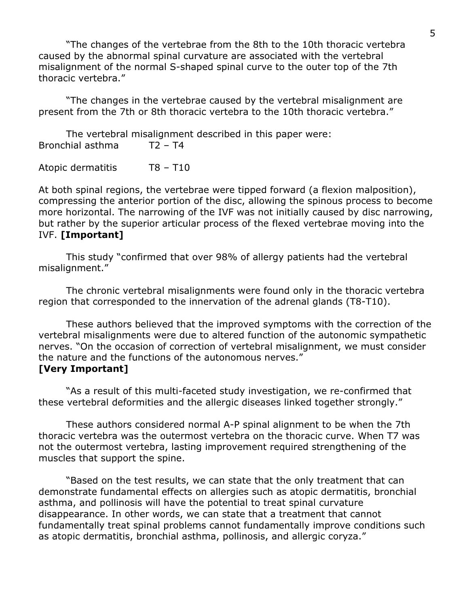"The changes of the vertebrae from the 8th to the 10th thoracic vertebra caused by the abnormal spinal curvature are associated with the vertebral misalignment of the normal S-shaped spinal curve to the outer top of the 7th thoracic vertebra."

"The changes in the vertebrae caused by the vertebral misalignment are present from the 7th or 8th thoracic vertebra to the 10th thoracic vertebra."

The vertebral misalignment described in this paper were: Bronchial asthma T2 – T4

Atopic dermatitis T8 – T10

At both spinal regions, the vertebrae were tipped forward (a flexion malposition), compressing the anterior portion of the disc, allowing the spinous process to become more horizontal. The narrowing of the IVF was not initially caused by disc narrowing, but rather by the superior articular process of the flexed vertebrae moving into the IVF. **[Important]**

This study "confirmed that over 98% of allergy patients had the vertebral misalignment."

The chronic vertebral misalignments were found only in the thoracic vertebra region that corresponded to the innervation of the adrenal glands (T8-T10).

These authors believed that the improved symptoms with the correction of the vertebral misalignments were due to altered function of the autonomic sympathetic nerves. "On the occasion of correction of vertebral misalignment, we must consider the nature and the functions of the autonomous nerves." **[Very Important]**

"As a result of this multi-faceted study investigation, we re-confirmed that these vertebral deformities and the allergic diseases linked together strongly."

These authors considered normal A-P spinal alignment to be when the 7th thoracic vertebra was the outermost vertebra on the thoracic curve. When T7 was not the outermost vertebra, lasting improvement required strengthening of the muscles that support the spine.

"Based on the test results, we can state that the only treatment that can demonstrate fundamental effects on allergies such as atopic dermatitis, bronchial asthma, and pollinosis will have the potential to treat spinal curvature disappearance. In other words, we can state that a treatment that cannot fundamentally treat spinal problems cannot fundamentally improve conditions such as atopic dermatitis, bronchial asthma, pollinosis, and allergic coryza."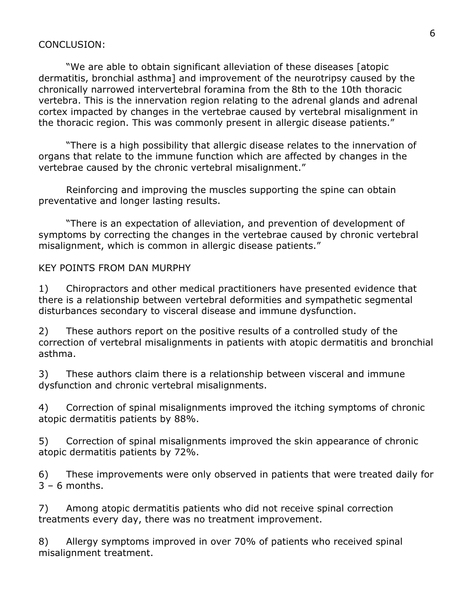#### CONCLUSION:

"We are able to obtain significant alleviation of these diseases [atopic dermatitis, bronchial asthma] and improvement of the neurotripsy caused by the chronically narrowed intervertebral foramina from the 8th to the 10th thoracic vertebra. This is the innervation region relating to the adrenal glands and adrenal cortex impacted by changes in the vertebrae caused by vertebral misalignment in the thoracic region. This was commonly present in allergic disease patients."

"There is a high possibility that allergic disease relates to the innervation of organs that relate to the immune function which are affected by changes in the vertebrae caused by the chronic vertebral misalignment."

Reinforcing and improving the muscles supporting the spine can obtain preventative and longer lasting results.

"There is an expectation of alleviation, and prevention of development of symptoms by correcting the changes in the vertebrae caused by chronic vertebral misalignment, which is common in allergic disease patients."

#### KEY POINTS FROM DAN MURPHY

1) Chiropractors and other medical practitioners have presented evidence that there is a relationship between vertebral deformities and sympathetic segmental disturbances secondary to visceral disease and immune dysfunction.

2) These authors report on the positive results of a controlled study of the correction of vertebral misalignments in patients with atopic dermatitis and bronchial asthma.

3) These authors claim there is a relationship between visceral and immune dysfunction and chronic vertebral misalignments.

4) Correction of spinal misalignments improved the itching symptoms of chronic atopic dermatitis patients by 88%.

5) Correction of spinal misalignments improved the skin appearance of chronic atopic dermatitis patients by 72%.

6) These improvements were only observed in patients that were treated daily for  $3 - 6$  months.

7) Among atopic dermatitis patients who did not receive spinal correction treatments every day, there was no treatment improvement.

8) Allergy symptoms improved in over 70% of patients who received spinal misalignment treatment.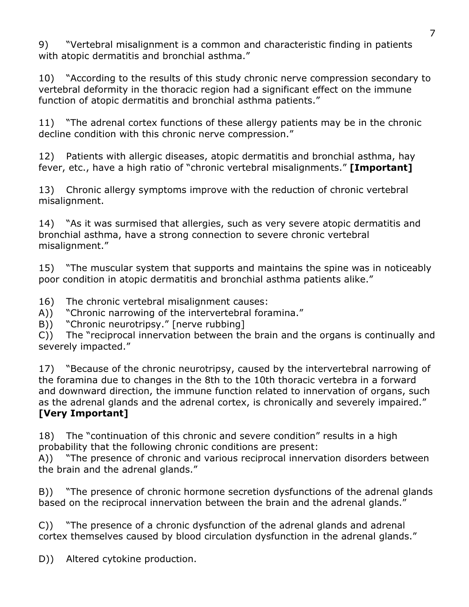9) "Vertebral misalignment is a common and characteristic finding in patients with atopic dermatitis and bronchial asthma."

10) "According to the results of this study chronic nerve compression secondary to vertebral deformity in the thoracic region had a significant effect on the immune function of atopic dermatitis and bronchial asthma patients."

11) "The adrenal cortex functions of these allergy patients may be in the chronic decline condition with this chronic nerve compression."

12) Patients with allergic diseases, atopic dermatitis and bronchial asthma, hay fever, etc., have a high ratio of "chronic vertebral misalignments." **[Important]**

13) Chronic allergy symptoms improve with the reduction of chronic vertebral misalignment.

14) "As it was surmised that allergies, such as very severe atopic dermatitis and bronchial asthma, have a strong connection to severe chronic vertebral misalignment."

15) "The muscular system that supports and maintains the spine was in noticeably poor condition in atopic dermatitis and bronchial asthma patients alike."

16) The chronic vertebral misalignment causes:

A)) "Chronic narrowing of the intervertebral foramina."

B)) "Chronic neurotripsy." [nerve rubbing]

C)) The "reciprocal innervation between the brain and the organs is continually and severely impacted."

17) "Because of the chronic neurotripsy, caused by the intervertebral narrowing of the foramina due to changes in the 8th to the 10th thoracic vertebra in a forward and downward direction, the immune function related to innervation of organs, such as the adrenal glands and the adrenal cortex, is chronically and severely impaired." **[Very Important]**

18) The "continuation of this chronic and severe condition" results in a high probability that the following chronic conditions are present:

A)) "The presence of chronic and various reciprocal innervation disorders between the brain and the adrenal glands."

B)) "The presence of chronic hormone secretion dysfunctions of the adrenal glands based on the reciprocal innervation between the brain and the adrenal glands."

C)) "The presence of a chronic dysfunction of the adrenal glands and adrenal cortex themselves caused by blood circulation dysfunction in the adrenal glands."

D)) Altered cytokine production.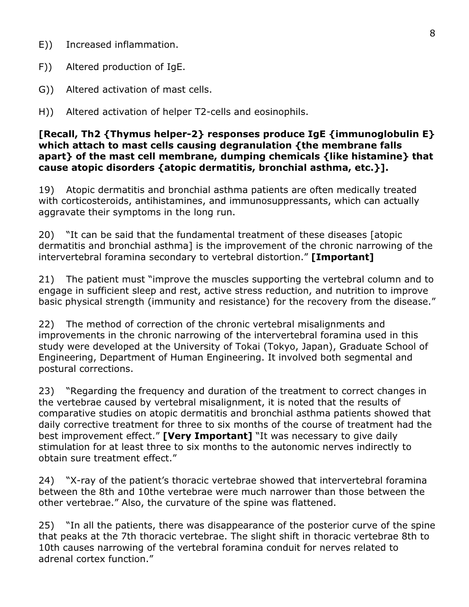- E)) Increased inflammation.
- F)) Altered production of IgE.
- G)) Altered activation of mast cells.
- H)) Altered activation of helper T2-cells and eosinophils.

### **[Recall, Th2 {Thymus helper-2} responses produce IgE {immunoglobulin E} which attach to mast cells causing degranulation {the membrane falls apart} of the mast cell membrane, dumping chemicals {like histamine} that cause atopic disorders {atopic dermatitis, bronchial asthma, etc.}].**

19) Atopic dermatitis and bronchial asthma patients are often medically treated with corticosteroids, antihistamines, and immunosuppressants, which can actually aggravate their symptoms in the long run.

20) "It can be said that the fundamental treatment of these diseases [atopic dermatitis and bronchial asthma] is the improvement of the chronic narrowing of the intervertebral foramina secondary to vertebral distortion." **[Important]**

21) The patient must "improve the muscles supporting the vertebral column and to engage in sufficient sleep and rest, active stress reduction, and nutrition to improve basic physical strength (immunity and resistance) for the recovery from the disease."

22) The method of correction of the chronic vertebral misalignments and improvements in the chronic narrowing of the intervertebral foramina used in this study were developed at the University of Tokai (Tokyo, Japan), Graduate School of Engineering, Department of Human Engineering. It involved both segmental and postural corrections.

23) "Regarding the frequency and duration of the treatment to correct changes in the vertebrae caused by vertebral misalignment, it is noted that the results of comparative studies on atopic dermatitis and bronchial asthma patients showed that daily corrective treatment for three to six months of the course of treatment had the best improvement effect." **[Very Important]** "It was necessary to give daily stimulation for at least three to six months to the autonomic nerves indirectly to obtain sure treatment effect."

24) "X-ray of the patient's thoracic vertebrae showed that intervertebral foramina between the 8th and 10the vertebrae were much narrower than those between the other vertebrae." Also, the curvature of the spine was flattened.

25) "In all the patients, there was disappearance of the posterior curve of the spine that peaks at the 7th thoracic vertebrae. The slight shift in thoracic vertebrae 8th to 10th causes narrowing of the vertebral foramina conduit for nerves related to adrenal cortex function."